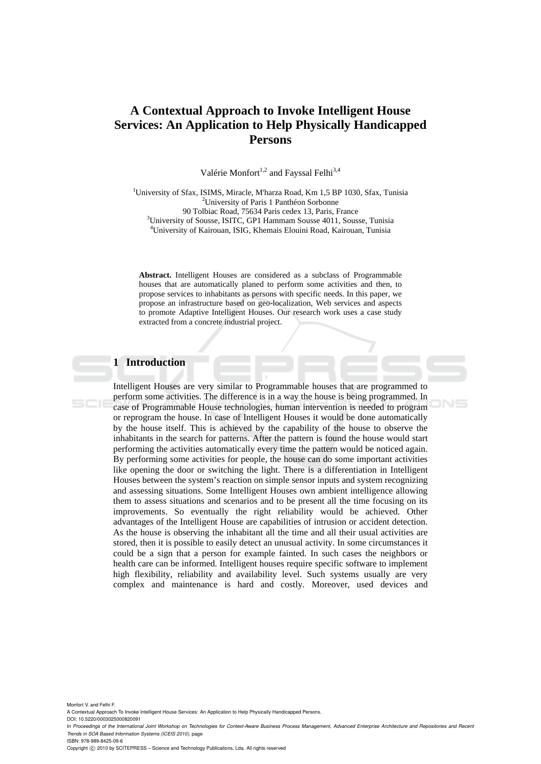# **A Contextual Approach to Invoke Intelligent House Services: An Application to Help Physically Handicapped Persons**

Valérie Monfort<sup>1,2</sup> and Fayssal Felhi<sup>3,4</sup>

<sup>1</sup>University of Sfax, ISIMS, Miracle, M'harza Road, Km 1,5 BP 1030, Sfax, Tunisia <sup>2</sup>University of Paris 1 Panthéon Sorbonne 90 Tolbiac Road, 75634 Paris cedex 13, Paris, France <sup>3</sup>University of Sousse, ISITC, GP1 Hammam Sousse 4011, Sousse, Tunisia University of Kairouan, ISIG, Khemais Elouini Road, Kairouan, Tunisia

**Abstract.** Intelligent Houses are considered as a subclass of Programmable houses that are automatically planed to perform some activities and then, to propose services to inhabitants as persons with specific needs. In this paper, we propose an infrastructure based on geo-localization, Web services and aspects to promote Adaptive Intelligent Houses. Our research work uses a case study extracted from a concrete industrial project.

# **1 Introduction**

Intelligent Houses are very similar to Programmable houses that are programmed to perform some activities. The difference is in a way the house is being programmed. In case of Programmable House technologies, human intervention is needed to program or reprogram the house. In case of Intelligent Houses it would be done automatically by the house itself. This is achieved by the capability of the house to observe the inhabitants in the search for patterns. After the pattern is found the house would start performing the activities automatically every time the pattern would be noticed again. By performing some activities for people, the house can do some important activities like opening the door or switching the light. There is a differentiation in Intelligent Houses between the system's reaction on simple sensor inputs and system recognizing and assessing situations. Some Intelligent Houses own ambient intelligence allowing them to assess situations and scenarios and to be present all the time focusing on its improvements. So eventually the right reliability would be achieved. Other advantages of the Intelligent House are capabilities of intrusion or accident detection. As the house is observing the inhabitant all the time and all their usual activities are stored, then it is possible to easily detect an unusual activity. In some circumstances it could be a sign that a person for example fainted. In such cases the neighbors or health care can be informed. Intelligent houses require specific software to implement high flexibility, reliability and availability level. Such systems usually are very complex and maintenance is hard and costly. Moreover, used devices and

 $N =$ 

Monfort V. and Felhi F.

A Contextual Approach To Invoke Intelligent House Services: An Application to Help Physically Handicapped Persons.

DOI: 10.5220/0003025000820091

In *Proceedings of the International Joint Workshop on Technologies for Context-Aware Business Process Management, Advanced Enterprise Architecture and Repositories and Recent Trends in SOA Based Information Systems (ICEIS 2010)*, page ISBN: 978-989-8425-09-6

Copyright © 2010 by SCITEPRESS - Science and Technology Publications, Lda. All rights reserved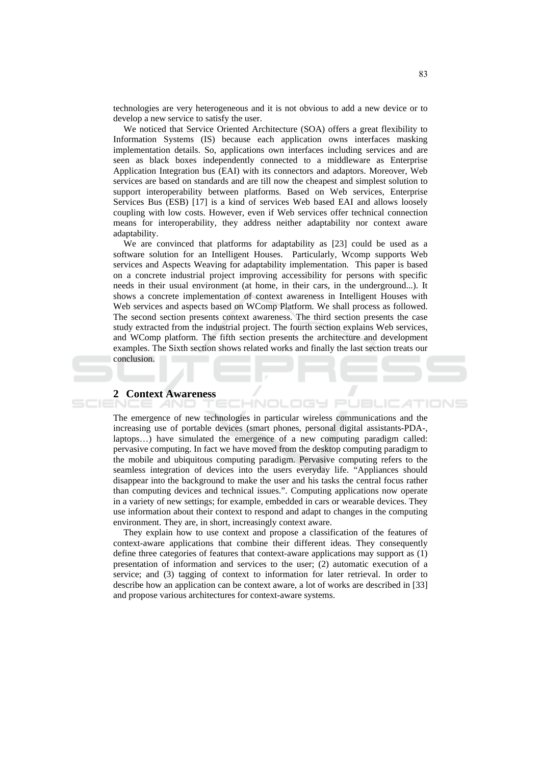technologies are very heterogeneous and it is not obvious to add a new device or to develop a new service to satisfy the user.

We noticed that Service Oriented Architecture (SOA) offers a great flexibility to Information Systems (IS) because each application owns interfaces masking implementation details. So, applications own interfaces including services and are seen as black boxes independently connected to a middleware as Enterprise Application Integration bus (EAI) with its connectors and adaptors. Moreover, Web services are based on standards and are till now the cheapest and simplest solution to support interoperability between platforms. Based on Web services, Enterprise Services Bus (ESB) [17] is a kind of services Web based EAI and allows loosely coupling with low costs. However, even if Web services offer technical connection means for interoperability, they address neither adaptability nor context aware adaptability.

We are convinced that platforms for adaptability as [23] could be used as a software solution for an Intelligent Houses. Particularly, Wcomp supports Web services and Aspects Weaving for adaptability implementation. This paper is based on a concrete industrial project improving accessibility for persons with specific needs in their usual environment (at home, in their cars, in the underground...). It shows a concrete implementation of context awareness in Intelligent Houses with Web services and aspects based on WComp Platform. We shall process as followed. The second section presents context awareness. The third section presents the case study extracted from the industrial project. The fourth section explains Web services, and WComp platform. The fifth section presents the architecture and development examples. The Sixth section shows related works and finally the last section treats our conclusion.

### **2** Context Awareness

The emergence of new technologies in particular wireless communications and the increasing use of portable devices (smart phones, personal digital assistants-PDA-, laptops...) have simulated the emergence of a new computing paradigm called: pervasive computing. In fact we have moved from the desktop computing paradigm to the mobile and ubiquitous computing paradigm. Pervasive computing refers to the seamless integration of devices into the users everyday life. "Appliances should disappear into the background to make the user and his tasks the central focus rather than computing devices and technical issues.". Computing applications now operate in a variety of new settings; for example, embedded in cars or wearable devices. They use information about their context to respond and adapt to changes in the computing environment. They are, in short, increasingly context aware.

-INOL

OGY PL

JBLIC

They explain how to use context and propose a classification of the features of context-aware applications that combine their different ideas. They consequently define three categories of features that context-aware applications may support as (1) presentation of information and services to the user; (2) automatic execution of a service; and (3) tagging of context to information for later retrieval. In order to describe how an application can be context aware, a lot of works are described in [33] and propose various architectures for context-aware systems.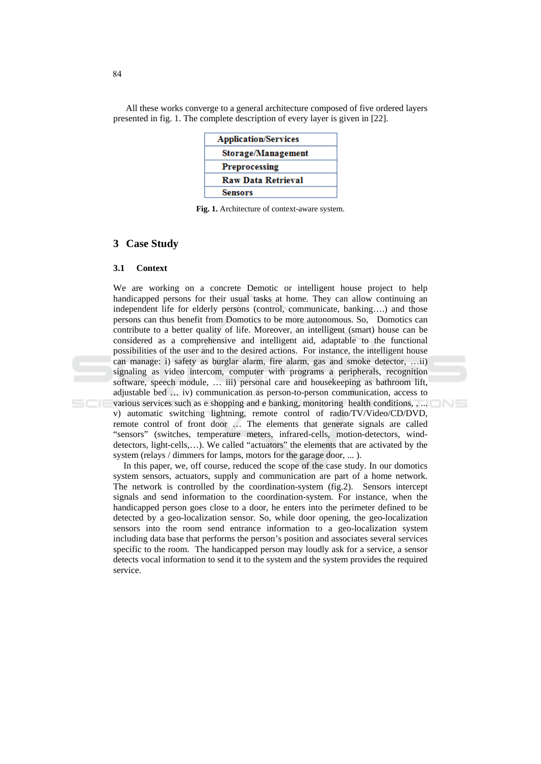All these works converge to a general architecture composed of five ordered layers presented in fig. 1. The complete description of every layer is given in [22].

| <b>Application/Services</b> |
|-----------------------------|
| Storage/Management          |
| <b>Preprocessing</b>        |
| <b>Raw Data Retrieval</b>   |
| <b>Sensors</b>              |

Fig. 1. Architecture of context-aware system.

### 3 Case Study

#### $31$ **Context**

We are working on a concrete Demotic or intelligent house project to help handicapped persons for their usual tasks at home. They can allow continuing an independent life for elderly persons (control, communicate, banking....) and those persons can thus benefit from Domotics to be more autonomous. So, Domotics can contribute to a better quality of life. Moreover, an intelligent (smart) house can be considered as a comprehensive and intelligent aid, adaptable to the functional possibilities of the user and to the desired actions. For instance, the intelligent house can manage: i) safety as burglar alarm, fire alarm, gas and smoke detector, ...ii) signaling as video intercom, computer with programs a peripherals, recognition software, speech module, ... iii) personal care and housekeeping as bathroom lift, adjustable bed ... iv) communication as person-to-person communication, access to various services such as e shopping and e banking, monitoring health conditions, , ... v) automatic switching lightning, remote control of radio/TV/Video/CD/DVD, remote control of front door ... The elements that generate signals are called "sensors" (switches, temperature meters, infrared-cells, motion-detectors, winddetectors, light-cells,...). We called "actuators" the elements that are activated by the system (relays / dimmers for lamps, motors for the garage door, ...).

In this paper, we, off course, reduced the scope of the case study. In our domotics system sensors, actuators, supply and communication are part of a home network. The network is controlled by the coordination-system (fig.2). Sensors intercept signals and send information to the coordination-system. For instance, when the handicapped person goes close to a door, he enters into the perimeter defined to be detected by a geo-localization sensor. So, while door opening, the geo-localization sensors into the room send entrance information to a geo-localization system including data base that performs the person's position and associates several services specific to the room. The handicapped person may loudly ask for a service, a sensor detects vocal information to send it to the system and the system provides the required service.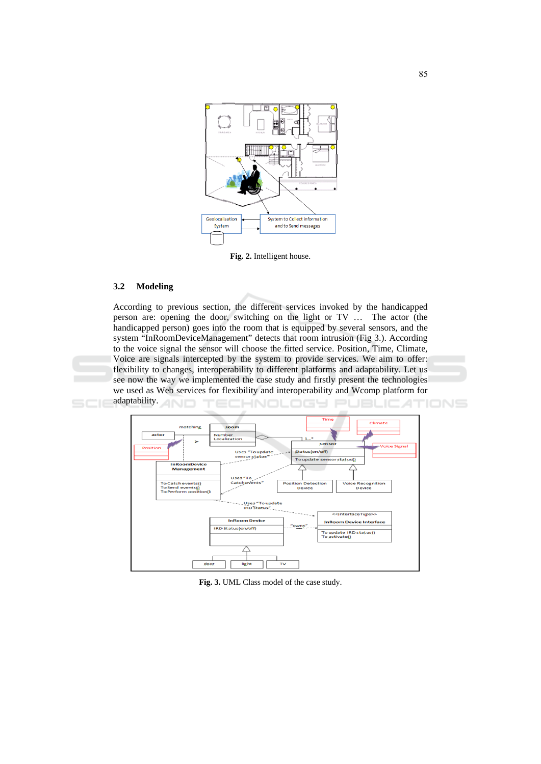

Fig. 2. Intelligent house.

#### $3.2$ **Modeling**

According to previous section, the different services invoked by the handicapped person are: opening the door, switching on the light or TV ... The actor (the handicapped person) goes into the room that is equipped by several sensors, and the system "InRoomDeviceManagement" detects that room intrusion (Fig 3.). According to the voice signal the sensor will choose the fitted service. Position, Time, Climate, Voice are signals intercepted by the system to provide services. We aim to offer: flexibility to changes, interoperability to different platforms and adaptability. Let us see now the way we implemented the case study and firstly present the technologies we used as Web services for flexibility and interoperability and Wcomp platform for adaptability.



Fig. 3. UML Class model of the case study.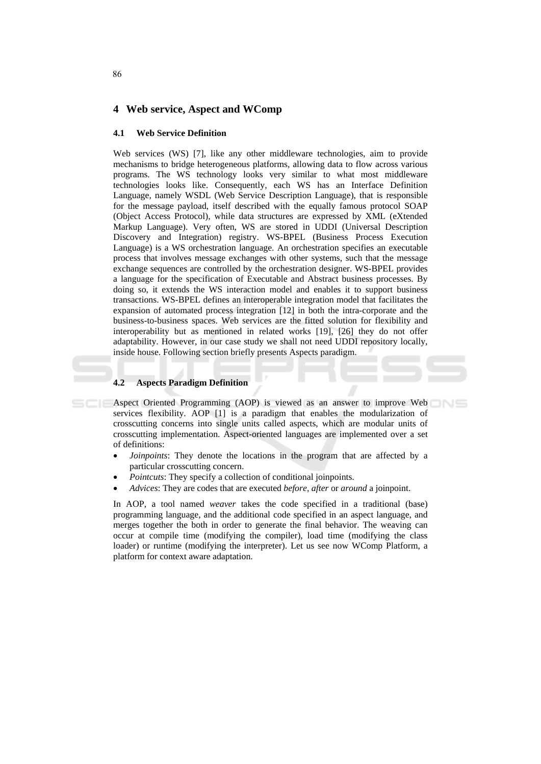### 4 Web service, Aspect and WComp

#### $4.1$ **Web Service Definition**

Web services (WS) [7], like any other middleware technologies, aim to provide mechanisms to bridge heterogeneous platforms, allowing data to flow across various programs. The WS technology looks very similar to what most middleware technologies looks like. Consequently, each WS has an Interface Definition Language, namely WSDL (Web Service Description Language), that is responsible for the message payload, itself described with the equally famous protocol SOAP (Object Access Protocol), while data structures are expressed by XML (eXtended Markup Language). Very often, WS are stored in UDDI (Universal Description Discovery and Integration) registry. WS-BPEL (Business Process Execution Language) is a WS orchestration language. An orchestration specifies an executable process that involves message exchanges with other systems, such that the message exchange sequences are controlled by the orchestration designer. WS-BPEL provides a language for the specification of Executable and Abstract business processes. By doing so, it extends the WS interaction model and enables it to support business transactions. WS-BPEL defines an interoperable integration model that facilitates the expansion of automated process integration  $[12]$  in both the intra-corporate and the business-to-business spaces. Web services are the fitted solution for flexibility and interoperability but as mentioned in related works [19], [26] they do not offer adaptability. However, in our case study we shall not need UDDI repository locally, inside house. Following section briefly presents Aspects paradigm.

#### **Aspects Paradigm Definition**  $4.2$

Aspect Oriented Programming (AOP) is viewed as an answer to improve Web services flexibility. AOP [1] is a paradigm that enables the modularization of crosscutting concerns into single units called aspects, which are modular units of crosscutting implementation. Aspect-oriented languages are implemented over a set of definitions:

- *Joinpoints:* They denote the locations in the program that are affected by a particular crosscutting concern.
- *Pointcuts:* They specify a collection of conditional joinpoints.
- Advices: They are codes that are executed before, after or around a joinpoint.

In AOP, a tool named *weaver* takes the code specified in a traditional (base) programming language, and the additional code specified in an aspect language, and merges together the both in order to generate the final behavior. The weaving can occur at compile time (modifying the compiler), load time (modifying the class loader) or runtime (modifying the interpreter). Let us see now WComp Platform, a platform for context aware adaptation.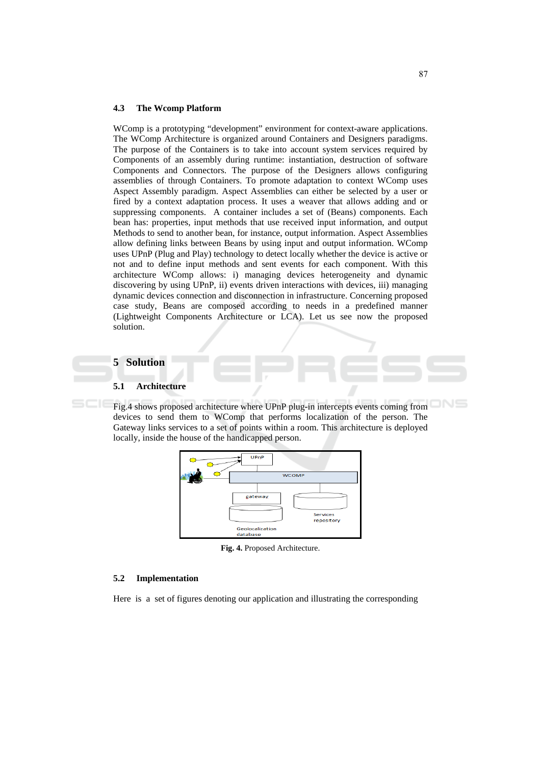#### $4.3$ **The Wcomp Platform**

WComp is a prototyping "development" environment for context-aware applications. The WComp Architecture is organized around Containers and Designers paradigms. The purpose of the Containers is to take into account system services required by Components of an assembly during runtime: instantiation, destruction of software Components and Connectors. The purpose of the Designers allows configuring assemblies of through Containers. To promote adaptation to context WComp uses Aspect Assembly paradigm. Aspect Assemblies can either be selected by a user or fired by a context adaptation process. It uses a weaver that allows adding and or suppressing components. A container includes a set of (Beans) components. Each bean has: properties, input methods that use received input information, and output Methods to send to another bean, for instance, output information. Aspect Assemblies allow defining links between Beans by using input and output information. WComp uses UPnP (Plug and Play) technology to detect locally whether the device is active or not and to define input methods and sent events for each component. With this architecture WComp allows: i) managing devices heterogeneity and dynamic discovering by using UPnP, ii) events driven interactions with devices, iii) managing dynamic devices connection and disconnection in infrastructure. Concerning proposed case study, Beans are composed according to needs in a predefined manner (Lightweight Components Architecture or LCA). Let us see now the proposed solution.

# **5** Solution

#### $5.\overline{1}$ **Architecture**

Fig.4 shows proposed architecture where UPnP plug-in intercepts events coming from devices to send them to WComp that performs localization of the person. The Gateway links services to a set of points within a room. This architecture is deployed locally, inside the house of the handicapped person.



Fig. 4. Proposed Architecture.

#### $5.2$ **Implementation**

Here is a set of figures denoting our application and illustrating the corresponding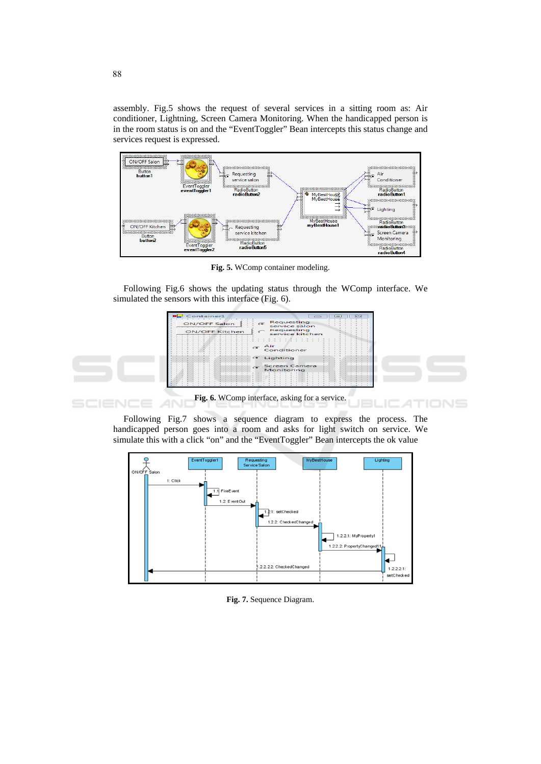assembly. Fig.5 shows the request of several services in a sitting room as: Air conditioner, Lightning, Screen Camera Monitoring. When the handicapped person is in the room status is on and the "EventToggler" Bean intercepts this status change and services request is expressed.



Fig. 5. WComp container modeling.

Following Fig.6 shows the updating status through the WComp interface. We simulated the sensors with this interface (Fig. 6).



Fig. 6. WComp interface, asking for a service. т

Following Fig.7 shows a sequence diagram to express the process. The handicapped person goes into a room and asks for light switch on service. We simulate this with a click "on" and the "EventToggler" Bean intercepts the ok value

АN



Fig. 7. Sequence Diagram.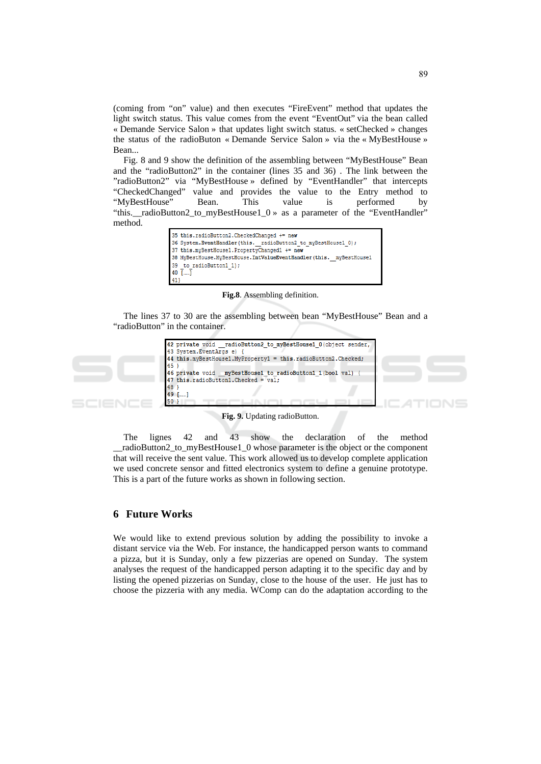(coming from "on" value) and then executes "FireEvent" method that updates the light switch status. This value comes from the event "EventOut" via the bean called « Demande Service Salon » that updates light switch status. « setChecked » changes the status of the radioButon « Demande Service Salon » via the « MyBestHouse » Bean...

Fig. 8 and 9 show the definition of the assembling between "MyBestHouse" Bean and the "radioButton2" in the container (lines 35 and 36). The link between the "radioButton2" via "MyBestHouse » defined by "EventHandler" that intercepts "CheckedChanged" value and provides the value to the Entry method to "MyBestHouse" Bean. This value is performed by "this.\_radioButton2\_to\_myBestHouse1\_0 » as a parameter of the "EventHandler" method.

|     | 35 this.radioButton2.CheckedChanged += new                         |
|-----|--------------------------------------------------------------------|
|     | 36 System.EventHandler(this. radioButton2 to myBestHouse1 0);      |
|     | 37 this.myBestHouse1.PropertyChanged1 += new                       |
|     | 38 MyBestHouse.MyBestHouse.IntValueEventHandler(this. myBestHouse1 |
|     | 39 to radioButton1 1);                                             |
|     | $40$ []                                                            |
| 413 |                                                                    |

Fig.8. Assembling definition.

The lines 37 to 30 are the assembling between bean "MyBestHouse" Bean and a "radioButton" in the container.



Fig. 9. Updating radioButton.

lignes  $42$ 43 The and show the declaration of the method radioButton2 to myBestHouse1 0 whose parameter is the object or the component that will receive the sent value. This work allowed us to develop complete application we used concrete sensor and fitted electronics system to define a genuine prototype. This is a part of the future works as shown in following section.

### **6** Future Works

We would like to extend previous solution by adding the possibility to invoke a distant service via the Web. For instance, the handicapped person wants to command a pizza, but it is Sunday, only a few pizzerias are opened on Sunday. The system analyses the request of the handicapped person adapting it to the specific day and by listing the opened pizzerias on Sunday, close to the house of the user. He just has to choose the pizzeria with any media. WComp can do the adaptation according to the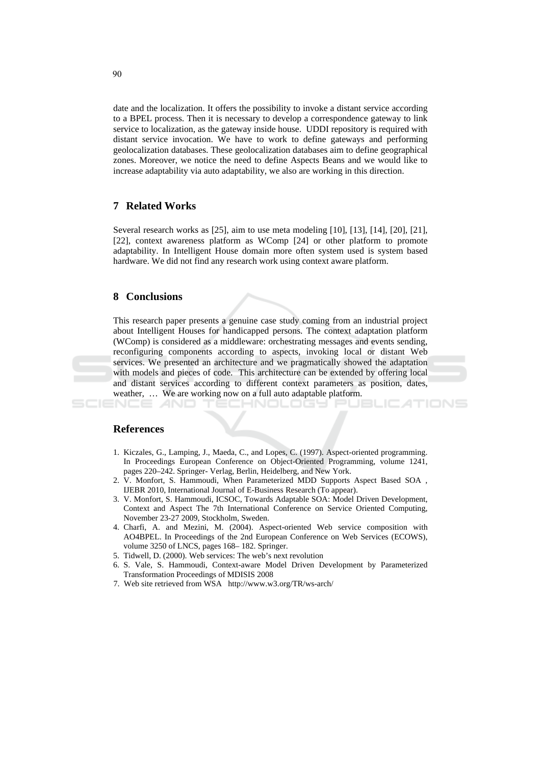date and the localization. It offers the possibility to invoke a distant service according to a BPEL process. Then it is necessary to develop a correspondence gateway to link service to localization, as the gateway inside house. UDDI repository is required with distant service invocation. We have to work to define gateways and performing geolocalization databases. These geolocalization databases aim to define geographical zones. Moreover, we notice the need to define Aspects Beans and we would like to increase adaptability via auto adaptability, we also are working in this direction.

# **7** Related Works

Several research works as [25], aim to use meta modeling [10], [13], [14], [20], [21], [22], context awareness platform as WComp [24] or other platform to promote adaptability. In Intelligent House domain more often system used is system based hardware. We did not find any research work using context aware platform.

# 8 Conclusions

This research paper presents a genuine case study coming from an industrial project about Intelligent Houses for handicapped persons. The context adaptation platform (WComp) is considered as a middleware: orchestrating messages and events sending, reconfiguring components according to aspects, invoking local or distant Web services. We presented an architecture and we pragmatically showed the adaptation with models and pieces of code. This architecture can be extended by offering local and distant services according to different context parameters as position, dates, weather, ... We are working now on a full auto adaptable platform.

. . . . . . .

TIONS

### **References**

SCIENCE *A*ND

- 1. Kiczales, G., Lamping, J., Maeda, C., and Lopes, C. (1997). Aspect-oriented programming. In Proceedings European Conference on Object-Oriented Programming, volume 1241, pages 220–242. Springer- Verlag, Berlin, Heidelberg, and New York.
- 2. V. Monfort, S. Hammoudi, When Parameterized MDD Supports Aspect Based SOA, IJEBR 2010, International Journal of E-Business Research (To appear).
- 3. V. Monfort, S. Hammoudi, ICSOC, Towards Adaptable SOA: Model Driven Development, Context and Aspect The 7th International Conference on Service Oriented Computing, November 23-27 2009, Stockholm, Sweden.
- 4. Charfi, A. and Mezini, M. (2004). Aspect-oriented Web service composition with AO4BPEL. In Proceedings of the 2nd European Conference on Web Services (ECOWS), volume 3250 of LNCS, pages 168-182. Springer.
- 5. Tidwell, D. (2000). Web services: The web's next revolution
- 6. S. Vale, S. Hammoudi, Context-aware Model Driven Development by Parameterized Transformation Proceedings of MDISIS 2008
- 7. Web site retrieved from WSA http://www.w3.org/TR/ws-arch/